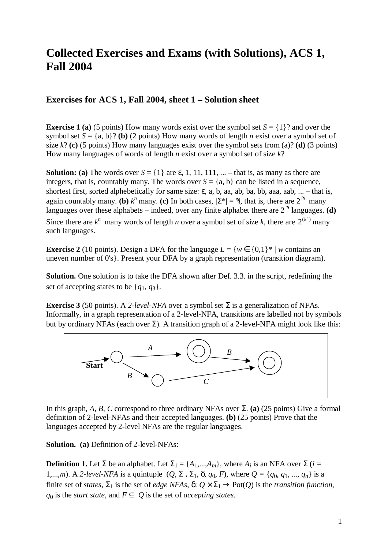# **Collected Exercises and Exams (with Solutions), ACS 1, Fall 2004**

## **Exercises for ACS 1, Fall 2004, sheet 1 – Solution sheet**

**Exercise 1 (a)** (5 points) How many words exist over the symbol set  $S = \{1\}$ ? and over the symbol set  $S = \{a, b\}$ ? **(b)** (2 points) How many words of length *n* exist over a symbol set of size  $k$ ? **(c)** (5 points) How many languages exist over the symbol sets from (a)? **(d)** (3 points) How many languages of words of length *n* exist over a symbol set of size *k*?

**Solution:** (a) The words over  $S = \{1\}$  are  $\varepsilon$ , 1, 11, 111, ... – that is, as many as there are integers, that is, countably many. The words over  $S = \{a, b\}$  can be listed in a sequence, shortest first, sorted alphebetically for same size:  $\varepsilon$ , a, b, aa, ab, ba, bb, aaa, aab, ... – that is, again countably many. **(b)**  $k^n$  many. **(c)** In both cases,  $|\Sigma^*| = \mathbb{N}$ , that is, there are  $2^{\mathbb{N}}$  many many. **(c)** In both cases,  $|\Sigma^*| = N$ , that is, there are 2<br>ts indeed, over any finite alphabet there are 2<sup>N</sup> land languages over these alphabets – indeed, over any finite alphabet there are  $2$ - languages. **(d)** Since there are  $k^n$  many words of length *n* over a symbol set of size *k*, there are  $2^{(k^n)}$  many such languages.

**Exercise 2** (10 points). Design a DFA for the language  $L = \{w \in \{0,1\}^* | w \text{ contains an } \}$ uneven number of 0's}. Present your DFA by a graph representation (transition diagram).

**Solution.** One solution is to take the DFA shown after Def. 3.3. in the script, redefining the set of accepting states to be  $\{q_1, q_3\}$ .

**Exercise 3** (50 points). A 2-level-NFA over a symbol set  $\Sigma$  is a generalization of NFAs. Informally, in a graph representation of a 2-level-NFA, transitions are labelled not by symbols but by ordinary NFAs (each over  $\Sigma$ ). A transition graph of a 2-level-NFA might look like this:



In this graph, *A*, *B*, *C* correspond to three ordinary NFAs over  $\Sigma$ . **(a)** (25 points) Give a formal definition of 2-level-NFAs and their accepted languages. **(b)** (25 points) Prove that the languages accepted by 2-level NFAs are the regular languages.

**Solution. (a)** Definition of 2-level-NFAs:

**Definition 1.** Let  $\Sigma$  be an alphabet. Let  $\Sigma_1 = \{A_1, ..., A_m\}$ , where  $A_i$  is an NFA over  $\Sigma$  (*i* = 1,...,*m*). A *2-level-NFA* is a quintuple (*Q*, Σ , Σ1, δ, *q*0, *F*), where *Q =* {*q*0, *q*1, ..., *qn*} is a finite set of *states*,  $\Sigma_1$  is the set of *edge NFAs*,  $\delta: Q \times \Sigma_1 \to \text{Pot}(Q)$  is the *transition function*,  $q_0$  is the *start state*, and  $F \subseteq Q$  is the set of *accepting states.*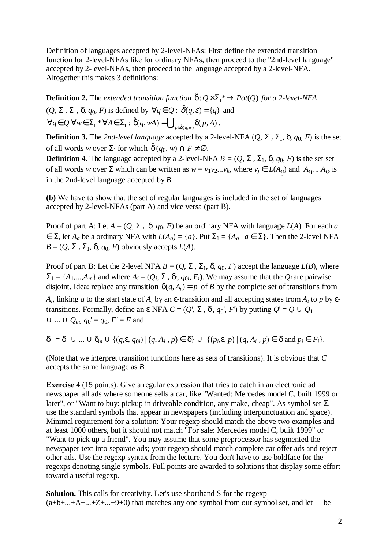Definition of languages accepted by 2-level-NFAs: First define the extended transition function for 2-level-NFAs like for ordinary NFAs, then proceed to the "2nd-level language" accepted by 2-level-NFAs, then proceed to the language accepted by a 2-level-NFA. Altogether this makes 3 definitions:

**Definition 2.** The *extended transition function*  $\hat{\delta}: Q \times \Sigma_1^* \to Pot(Q)$  *for a 2-level-NFA*  $(Q, \Sigma, \Sigma_1, \delta, q_0, F)$  is defined by  $\forall q \in Q : \hat{\delta}(q, \varepsilon) = \{q\}$  and  $\forall q \in Q$   $\forall w \in \Sigma_1^* \forall A \in \Sigma_1 : \hat{\delta}(q, wA) = \bigcup_{p \in \hat{\delta}(q, w)} \delta(p, A)$ .<br>
Definition 3 The 2nd level language accepted by a 2 let

**Definition 3.** The 2nd-level language accepted by a 2-level-NFA  $(Q, \Sigma, \Sigma_1, \delta, q_0, F)$  is the set of all words *w* over  $\Sigma_1$  for which  $\hat{\delta}(q_0, w) \cap F \neq \emptyset$ .

**Definition 4.** The language accepted by a 2-level-NFA  $B = (Q, \Sigma, \Sigma_1, \delta, q_0, F)$  is the set set of all words *w* over  $\Sigma$  which can be written as  $w = v_1v_2...v_k$ , where  $v_j \in L(A_{ij})$  and  $A_{i_1}...A_{i_k}$  is in the 2nd-level language accepted by *B.*

**(b)** We have to show that the set of regular languages is included in the set of languages accepted by 2-level-NFAs (part A) and vice versa (part B).

Proof of part A: Let  $A = (Q, \Sigma, \delta, q_0, F)$  be an ordinary NFA with language  $L(A)$ . For each *a*  $∈ Σ$ , let *A<sub>a</sub>* be a ordinary NFA with *L*(*A<sub>a</sub>*) = {*a*}. Put  $Σ_1 = {A_a | a ∈ Σ}$ }. Then the 2-level NFA  $B = (Q, \Sigma, \Sigma_1, \delta, q_0, F)$  obviously accepts  $L(A)$ .

Proof of part B: Let the 2-level NFA  $B = (Q, \Sigma, \Sigma_1, \delta, q_0, F)$  accept the language  $L(B)$ , where  $\Sigma_1 = \{A_1,...,A_m\}$  and where  $A_i = (Q_i, \Sigma, \delta_i, q_{0i}, F_i)$ . We may assume that the  $Q_i$  are pairwise disjoint. Idea: replace any transition  $\delta(q, A) = p$  of *B* by the complete set of transitions from *A<sub>i</sub>*, linking *q* to the start state of *A<sub>i</sub>* by an ε-transition and all accepting states from *A<sub>i</sub>* to *p* by εtransitions. Formally, define an ε-NFA *C* = (*Q*', Σ , δ', *q*0', *F*') by putting *Q*' = *Q* ∪ *Q*<sup>1</sup>  $∪ ... ∪ Q_m$ ,  $q_0' = q_0$ ,  $F' = F$  and

$$
\delta' = \delta_1 \cup \ldots \cup \delta_m \cup \{ (q, \varepsilon, q_{0i}) \mid (q, A_i, p) \in \delta \} \cup \{ (p_i, \varepsilon, p) \mid (q, A_i, p) \in \delta \text{ and } p_i \in F_i \}.
$$

(Note that we interpret transition functions here as sets of transitions). It is obvious that *C* accepts the same language as *B*.

**Exercise 4** (15 points). Give a regular expression that tries to catch in an electronic ad newspaper all ads where someone sells a car, like "Wanted: Mercedes model C, built 1999 or later", or "Want to buy: pickup in driveable condition, any make, cheap". As symbol set Σ, use the standard symbols that appear in newspapers (including interpunctuation and space). Minimal requirement for a solution: Your regexp should match the above two examples and at least 1000 others, but it should not match "For sale: Mercedes model C, built 1999" or "Want to pick up a friend". You may assume that some preprocessor has segmented the newspaper text into separate ads; your regexp should match complete car offer ads and reject other ads. Use the regexp syntax from the lecture. You don't have to use boldface for the regexps denoting single symbols. Full points are awarded to solutions that display some effort toward a useful regexp.

**Solution.** This calls for creativity. Let's use shorthand S for the regexp  $(a+b+...+A+...+Z+...+9+0)$  that matches any one symbol from our symbol set, and let  $\Box$  be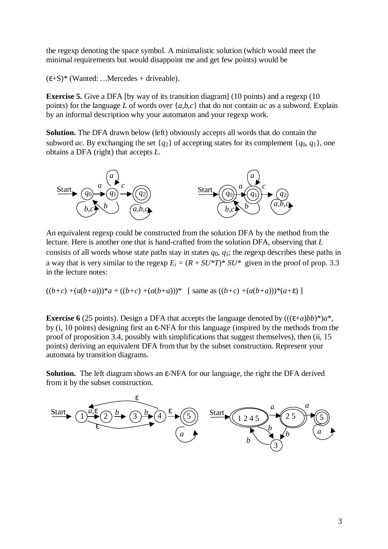the regexp denoting the space symbol. A minimalistic solution (which would meet the minimal requirements but would disappoint me and get few points) would be

 $(\epsilon + S)^*$  (Wanted: *\_Mercedes* + driveable).

**Exercise 5.** Give a DFA [by way of its transition diagram] (10 points) and a regexp (10 points) for the language *L* of words over {*a*,*b*,*c*} that do not contain *ac* as a subword. Explain by an informal description why your automaton and your regexp work.

**Solution.** The DFA drawn below (left) obviously accepts all words that do contain the subword *ac*. By exchanging the set  $\{q_2\}$  of accepting states for its complement  $\{q_0, q_1\}$ , one obtains a DFA (right) that accepts *L.* 



An equivalent regexp could be constructed from the solution DFA by the method from the lecture. Here is another one that is hand-crafted from the solution DFA, observing that *L* consists of all words whose state paths stay in states  $q_0$ ,  $q_1$ ; the regexp describes these paths in a way that is very similar to the regexp  $E_i = (R + SU^*T)^* SU^*$  given in the proof of prop. 3.3 in the lecture notes:

$$
((b+c)+(a(b+a)))^*a + ((b+c)+(a(b+a)))^*
$$
 [ same as  $((b+c)+(a(b+a)))^*(a+\varepsilon)$ ]

**Exercise 6** (25 points). Design a DFA that accepts the language denoted by  $(((\varepsilon+a)b)^*)a^*$ . by (i, 10 points) designing first an ε-NFA for this language (inspired by the methods from the proof of proposition 3.4, possibly with simplifications that suggest themselves), then (ii, 15 points) deriving an equivalent DFA from that by the subset construction. Represent your automata by transition diagrams.

**Solution.** The left diagram shows an ε-NFA for our language, the right the DFA derived from it by the subset construction.

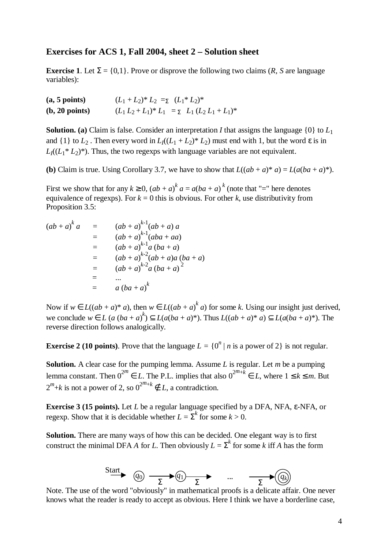### **Exercises for ACS 1, Fall 2004, sheet 2 – Solution sheet**

**Exercise 1.** Let  $\Sigma = \{0,1\}$ . Prove or disprove the following two claims (*R*, *S* are language variables):

| (a, 5 points)  | $(L_1 + L_2)^* L_2 =_{\Sigma} (L_1^* L_2)^*$         |
|----------------|------------------------------------------------------|
| (b, 20 points) | $(L_1 L_2 + L_1)^* L_1 = \sum L_1 (L_2 L_1 + L_1)^*$ |

**Solution.** (a) Claim is false. Consider an interpretation *I* that assigns the language  $\{0\}$  to  $L_1$ and  $\{1\}$  to  $L_2$ . Then every word in  $L_1((L_1 + L_2)^* L_2)$  must end with 1, but the word  $\varepsilon$  is in  $L_1((L_1 * L_2)^*)$ . Thus, the two regexps with language variables are not equivalent.

**(b)** Claim is true. Using Corollary 3.7, we have to show that  $L((ab + a)^* a) = L(a(ba + a)^*)$ .

First we show that for any  $k \ge 0$ ,  $(ab + a)^k a = a(ba + a)^k$  (note that "=" here denotes equivalence of regexps). For  $k = 0$  this is obvious. For other k, use distributivity from Proposition 3.5:

$$
(ab + a)^{k} a = (ab + a)^{k-1} (ab + a) a
$$
  
=  $(ab + a)^{k-1} (aba + aa)$   
=  $(ab + a)^{k-1} a (ba + a)$   
=  $(ab + a)^{k-2} (ab + a) a (ba + a)$   
=  $(ab + a)^{k-2} a (ba + a)^{2}$   
= ...  
=  $a (ba + a)^{k}$ 

Now if  $w \in L((ab + a)^* a)$ , then  $w \in L((ab + a)^k a)$  for some *k*. Using our insight just derived, *we conclude*  $w ∈ L$  *(a*  $(ba + a)^{k}$ *)*  $\subseteq L(a(ba + a)^{*})$ . Thus  $L((ab + a)^{*}a) \subseteq L(a(ba + a)^{*})$ . The reverse direction follows analogically.

**Exercise 2** (10 points). Prove that the language  $L = \{0^n | n \text{ is a power of 2}\}\)$  is not regular.

**Solution.** A clear case for the pumping lemma. Assume *L* is regular. Let *m* be a pumping lemma constant. Then  $0^{2m} \in L$ . The P.L. implies that also  $0^{2m+\tilde{k}} \in L$ , where  $1 \leq k \leq m$ . But  $2^m+k$  is not a power of 2, so  $0^{2^m+k} \notin L$ , a contradiction.

**Exercise 3 (15 points).** Let *L* be a regular language specified by a DFA, NFA, ε-NFA, or regexp. Show that it is decidable whether  $L = \sum^{k}$  for some  $k > 0$ .

**Solution.** There are many ways of how this can be decided. One elegant way is to first construct the minimal DFA *A* for *L*. Then obviously  $L = \sum^{k}$  for some *k* iff *A* has the form



Note. The use of the word "obviously" in mathematical proofs is a delicate affair. One never knows what the reader is ready to accept as obvious. Here I think we have a borderline case,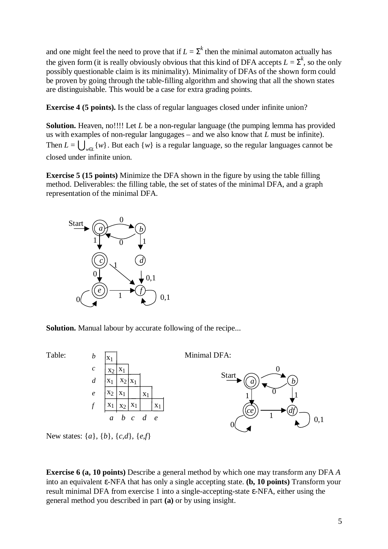and one might feel the need to prove that if  $L = \sum^{k}$  then the minimal automaton actually has the given form (it is really obviously obvious that this kind of DFA accepts  $L = \sum^{k}$ , so the only possibly questionable claim is its minimality). Minimality of DFAs of the shown form could be proven by going through the table-filling algorithm and showing that all the shown states are distinguishable. This would be a case for extra grading points.

**Exercise 4 (5 points).** Is the class of regular languages closed under infinite union?

**Solution.** Heaven, no!!!! Let *L* be a non-regular language (the pumping lemma has provided us with examples of non-regular langugages – and we also know that *L* must be infinite). Then  $L = \bigcup_{w \in L} \{w\}$ . But each  $\{w\}$  is a regular language, so the regular languages cannot be closed under infinite union. closed under infinite union.  $_{w\in L}$  {*w*}

**Exercise 5 (15 points)** Minimize the DFA shown in the figure by using the table filling method. Deliverables: the filling table, the set of states of the minimal DFA, and a graph representation of the minimal DFA.



**Solution.** Manual labour by accurate following of the recipe...



New states: {*a*}, {*b*}, {*c*,*d*}, {*e*,*f*}

**Exercise 6 (a, 10 points)** Describe a general method by which one may transform any DFA *A* into an equivalent ε-NFA that has only a single accepting state. **(b, 10 points)** Transform your result minimal DFA from exercise 1 into a single-accepting-state ε-NFA, either using the general method you described in part **(a)** or by using insight.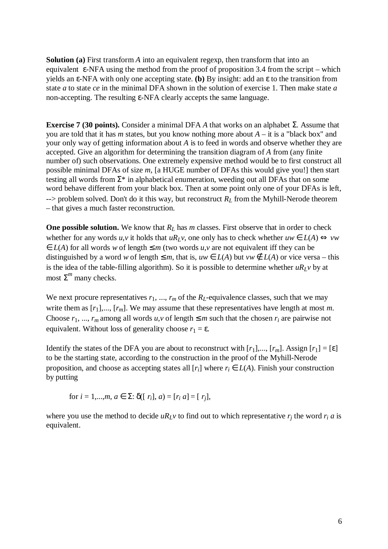**Solution (a)** First transform *A* into an equivalent regexp, then transform that into an equivalent  $\varepsilon$ -NFA using the method from the proof of proposition 3.4 from the script – which yields an ε-NFA with only one accepting state. **(b)** By insight: add an ε to the transition from state *a* to state *ce* in the minimal DFA shown in the solution of exercise 1. Then make state *a* non-accepting. The resulting ε-NFA clearly accepts the same language.

**Exercise 7 (30 points).** Consider a minimal DFA *A* that works on an alphabet Σ. Assume that you are told that it has *m* states, but you know nothing more about *A* – it is a "black box" and your only way of getting information about *A* is to feed in words and observe whether they are accepted. Give an algorithm for determining the transition diagram of *A* from (any finite number of) such observations. One extremely expensive method would be to first construct all possible minimal DFAs of size *m*, [a HUGE number of DFAs this would give you!] then start testing all words from  $\Sigma^*$  in alphabetical enumeration, weeding out all DFAs that on some word behave different from your black box. Then at some point only one of your DFAs is left,  $\rightarrow$  problem solved. Don't do it this way, but reconstruct  $R_L$  from the Myhill-Nerode theorem – that gives a much faster reconstruction.

**One possible solution.** We know that  $R_L$  has *m* classes. First observe that in order to check whether for any words *u*,*v* it holds that *uR<sub>L</sub>v*, one only has to check whether  $uw \in L(A) \Leftrightarrow vw$  $\in L(A)$  for all words *w* of length  $\leq m$  (two words *u*, *v* are not equivalent iff they can be distinguished by a word *w* of length  $\leq m$ , that is, *uw*  $\in L(A)$  but *vw*  $\notin L(A)$  or vice versa – this is the idea of the table-filling algorithm). So it is possible to determine whether  $uR_1v$  by at most  $Σ<sup>m</sup>$  many checks.

We next procure representatives  $r_1$ , ...,  $r_m$  of the  $R_L$ -equivalence classes, such that we may write them as [*r*1],..., [*rm*]. We may assume that these representatives have length at most *m*. Choose  $r_1, ..., r_m$  among all words  $u, v$  of length  $\leq m$  such that the chosen  $r_i$  are pairwise not equivalent. Without loss of generality choose  $r_1 = \varepsilon$ .

Identify the states of the DFA you are about to reconstruct with  $[r_1]$ ,...,  $[r_m]$ . Assign  $[r_1] = [\varepsilon]$ to be the starting state, according to the construction in the proof of the Myhill-Nerode proposition, and choose as accepting states all  $[r_i]$  where  $r_i \in L(A)$ . Finish your construction by putting

for 
$$
i = 1,...,m, a \in \Sigma
$$
:  $\delta([r_i], a) = [r_i, a] = [r_j],$ 

where you use the method to decide  $uR_Lv$  to find out to which representative  $r_i$  the word  $r_i$  a is equivalent.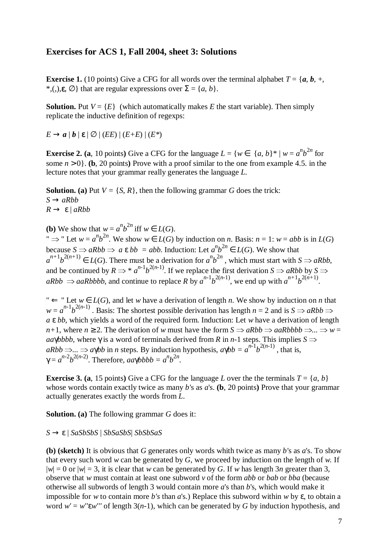## **Exercises for ACS 1, Fall 2004, sheet 3: Solutions**

**Exercise 1.** (10 points) Give a CFG for all words over the terminal alphabet  $T = \{a, b, +$ , \*,(,), $\mathbf{\varepsilon}, \emptyset$ } that are regular expressions over  $\Sigma = \{a, b\}$ .

**Solution.** Put  $V = \{E\}$  (which automatically makes *E* the start variable). Then simply replicate the inductive definition of regexps:

 $E \rightarrow a \mid b \mid \varepsilon \mid \varnothing \mid (EE) \mid (E+E) \mid (E^*)$ 

**Exercise 2. (a**, 10 points) Give a CFG for the language  $L = \{w \in \{a, b\}^* \mid w = a^n b^{2n} \}$  for some  $n > 0$ . **(b,** 20 points) Prove with a proof similar to the one from example 4.5. in the lecture notes that your grammar really generates the language *L*.

**Solution.** (a) Put  $V = \{S, R\}$ , then the following grammar *G* does the trick:  $S \rightarrow aRhh$ *R* → ε | *aRbb*

**(b)** We show that  $w = a^n b^{2n}$  iff  $w \in L(G)$ .

"  $\Rightarrow$  " Let *w* =  $a^n b^{2n}$ . We show *w* ∈ *L*(*G*) by induction on *n*. Basis: *n* = 1: *w* = *abb* is in *L*(*G*) because *S*  $\Rightarrow$   $B^L b$  is  $B^L b$  in  $B^L b$  is  $B^L b$  is  $B^L b$  is  $B^L b$  is  $B^L b$  is  $B^L b$  is  $B^L b$ because  $S \Rightarrow aRbb \Rightarrow a \in bb = abb$ . Induction: Let  $a^nb^{2n} \in L(G)$ . We show that  $a^{n+1}b^{2(n+1)} \in L(G)$ . There must be a derivation for  $a^{n}b^{2n}$ , which must start with  $S \Rightarrow aRbb$ , and be continued by  $R \Rightarrow^* a^{n-1} b^{2(n-1)}$ . If we replace the first derivation  $S \Rightarrow aRbb$  by  $S \Rightarrow$ <br> $aRbb \Rightarrow aRbb$  by  $a \Rightarrow bRbb$  and sontinue to replace  $B$  by  $a^{n-1}b^{2(n-1)}$  we and up with  $a^{n+1}b^{2(n+1)}$  $aRbb \Rightarrow aaRbbbb$ , and continue to replace *R* by  $a^{n-1}b^{2(n-1)}$ , we end up with  $a^{n+1}b^{2(n+1)}$ .

"  $\Leftarrow$  " Let  $w \in L(G)$ , and let *w* have a derivation of length *n*. We show by induction on *n* that  $w = a^{n-1}b^{2(n-1)}$ . Basis: The shortest possible derivation has length  $n = 2$  and is  $S \Rightarrow aRbb \Rightarrow aS$ *a* ε *bb*, which yields a word of the required form. Induction: Let *w* have a derivation of length *n*+1, where  $n \ge 2$ . The derivation of *w* must have the form  $S \Rightarrow aRbb \Rightarrow aaRbbbb \Rightarrow \dots \Rightarrow w =$ *aa*γ*bbbb*, where γ is a word of terminals derived from *R* in *n*-1 steps. This implies  $S \implies$  $aRbb \implies ... \implies a\gamma bb$  in *n* steps. By induction hypothesis,  $a\gamma bb = a^{n-1}b^{2(n-1)}$ , that is,  $\gamma = a^{n-2}b^{2(n-2)}$ . Therefore,  $a\alpha\gamma b b b = a^n b^{2n}$ .

**Exercise 3. (a,** 15 points) Give a CFG for the language *L* over the the terminals  $T = \{a, b\}$ whose words contain exactly twice as many *b'*s as *a*'s. **(b**, 20 points**)** Prove that your grammar actually generates exactly the words from *L*.

**Solution. (a)** The following grammar *G* does it:

*S* → ε | *SaSbSbS* | *SbSaSbS*| *SbSbSaS*

**(b) (sketch)** It is obvious that *G* generates only words whith twice as many *b'*s as *a*'s. To show that every such word *w* can be generated by *G*, we proceed by induction on the length of *w.* If  $|w| = 0$  or  $|w| = 3$ , it is clear that *w* can be generated by *G*. If *w* has length 3*n* greater than 3, observe that *w* must contain at least one subword *v* of the form *abb* or *bab* or *bba* (because otherwise all subwords of length 3 would contain more *a*'s than *b*'s, which would make it impossible for *w* to contain more *b's* than *a*'s.) Replace this subword within *w* by ε, to obtain a word  $w' = w''\epsilon w'''$  of length 3(*n*-1), which can be generated by *G* by induction hypothesis, and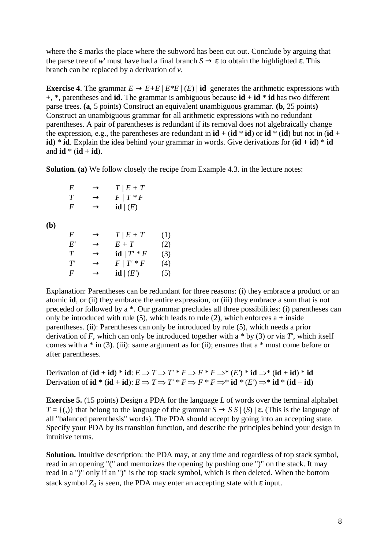where the  $\epsilon$  marks the place where the subword has been cut out. Conclude by arguing that the parse tree of *w'* must have had a final branch  $S \to \varepsilon$  to obtain the highlighted  $\varepsilon$ . This branch can be replaced by a derivation of *v*.

**Exercise 4.** The grammar  $E \to E + E |E^*E|$  (*E*) | **id** generates the arithmetic expressions with +, \*, parentheses and **id**. The grammar is ambiguous because **id** + **id** \* **id** has two different parse trees. **(a**, 5 points**)** Construct an equivalent unambiguous grammar. **(b**, 25 points**)** Construct an unambiguous grammar for all arithmetic expressions with no redundant parentheses. A pair of parentheses is redundant if its removal does not algebraically change the expression, e.g., the parentheses are redundant in  $id + (id * id)$  or  $id * (id)$  but not in  $(id +$ **id**) \* **id**. Explain the idea behind your grammar in words. Give derivations for  $(\mathbf{id} + \mathbf{id})$  \* **id** and  $id * (id + id)$ .

**Solution.** (a) We follow closely the recipe from Example 4.3. in the lecture notes:

| E | $\rightarrow$ | $T/E+T$                |
|---|---------------|------------------------|
| T | $\rightarrow$ | $F/T * F$              |
| F | $\rightarrow$ | $\mathbf{id} \mid (E)$ |

**(b)** 

| E          | $\rightarrow$ | $T/E+T$                 | (1) |
|------------|---------------|-------------------------|-----|
| E'         | $\rightarrow$ | $E+T$                   | (2) |
| T          | $\rightarrow$ | $id / T' * F$           | (3) |
| $T^\prime$ | $\rightarrow$ | $F/T^*F$                | (4) |
| F          | $\rightarrow$ | $\mathbf{id} \mid (E')$ | (5) |

Explanation: Parentheses can be redundant for three reasons: (i) they embrace a product or an atomic **id**, or (ii) they embrace the entire expression, or (iii) they embrace a sum that is not preceded or followed by a \*. Our grammar precludes all three possibilities: (i) parentheses can only be introduced with rule (5), which leads to rule (2), which enforces  $a + inside$ parentheses. (ii): Parentheses can only be introduced by rule (5), which needs a prior derivation of *F*, which can only be introduced together with a \* by (3) or via *T'*, which itself comes with a  $*$  in (3). (iii): same argument as for (ii); ensures that a  $*$  must come before or after parentheses.

Derivation of  $(\mathbf{id} + \mathbf{id})^* \mathbf{id}$ :  $E \Rightarrow T \Rightarrow T' * F \Rightarrow F * F \Rightarrow^* (E') * \mathbf{id} \Rightarrow^* (\mathbf{id} + \mathbf{id})^* \mathbf{id}$ Derivation of **id** \* (**id** + **id**):  $E \Rightarrow T \Rightarrow T' * F \Rightarrow F * F \Rightarrow^* \textbf{id} * (E') \Rightarrow^* \textbf{id} * (\textbf{id} + \textbf{id})$ 

**Exercise 5.** (15 points) Design a PDA for the language *L* of words over the terminal alphabet  $T = \{(.)\}$  that belong to the language of the grammar  $S \rightarrow S S | (S) | \varepsilon$ . (This is the language of all "balanced parenthesis" words). The PDA should accept by going into an accepting state. Specify your PDA by its transition function, and describe the principles behind your design in intuitive terms.

**Solution.** Intuitive description: the PDA may, at any time and regardless of top stack symbol, read in an opening "(" and memorizes the opening by pushing one ")" on the stack. It may read in a ")" only if an ")" is the top stack symbol, which is then deleted. When the bottom stack symbol  $Z_0$  is seen, the PDA may enter an accepting state with  $\varepsilon$  input.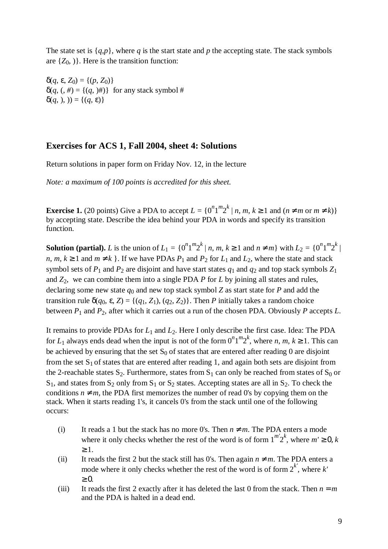The state set is  ${q,p}$ , where *q* is the start state and *p* the accepting state. The stack symbols are  $\{Z_0, \}$ . Here is the transition function:

 $\delta(q, \varepsilon, Z_0) = \{(p, Z_0)\}\$  $\delta(q, (0, \#)) = \{(q, 0, \#)\}\$  for any stack symbol # δ(*q*, ), )) = {(*q*, ε)}

## **Exercises for ACS 1, Fall 2004, sheet 4: Solutions**

Return solutions in paper form on Friday Nov. 12, in the lecture

*Note: a maximum of 100 points is accredited for this sheet.* 

**Exercise 1.** (20 points) Give a PDA to accept  $L = \{0^n 1^m 2^k | n, m, k \ge 1 \text{ and } (n \ne m \text{ or } m \ne k)\}\$ by accepting state. Describe the idea behind your PDA in words and specify its transition function.

**Solution (partial).** *L* is the union of  $L_1 = \{0^n 1^m 2^k | n, m, k \ge 1 \text{ and } n \ne m\}$  with  $L_2 = \{0^n 1^m 2^k | n, m, k \ge 1 \text{ and } n \ne m\}$ *n*,  $m, k \ge 1$  and  $m \ne k$  }. If we have PDAs  $P_1$  and  $P_2$  for  $L_1$  and  $L_2$ , where the state and stack symbol sets of  $P_1$  and  $P_2$  are disjoint and have start states  $q_1$  and  $q_2$  and top stack symbols  $Z_1$ and *Z*2, we can combine them into a single PDA *P* for *L* by joining all states and rules, declaring some new state  $q_0$  and new top stack symbol Z as start state for P and add the transition rule  $\delta(q_0, \varepsilon, Z) = \{(q_1, Z_1), (q_2, Z_2)\}\.$  Then *P* initially takes a random choice between  $P_1$  and  $P_2$ , after which it carries out a run of the chosen PDA. Obviously  $P$  accepts  $L$ .

It remains to provide PDAs for *L*1 and *L*2. Here I only describe the first case. Idea: The PDA for  $L_1$  always ends dead when the input is not of the form  $0^n1^m2^k$ , where *n*, *m*,  $k \ge 1$ . This can be achieved by ensuring that the set  $S_0$  of states that are entered after reading 0 are disjoint from the set  $S_1$  of states that are entered after reading 1, and again both sets are disjoint from the 2-reachable states  $S_2$ . Furthermore, states from  $S_1$  can only be reached from states of  $S_0$  or  $S_1$ , and states from  $S_2$  only from  $S_1$  or  $S_2$  states. Accepting states are all in  $S_2$ . To check the conditions  $n \neq m$ , the PDA first memorizes the number of read 0's by copying them on the stack. When it starts reading 1's, it cancels 0's from the stack until one of the following occurs:

- (i) It reads a 1 but the stack has no more 0's. Then  $n \neq m$ . The PDA enters a mode where it only checks whether the rest of the word is of form  $1^{m'}2^k$ , where  $m' \ge 0$ , k  $\geq 1$ .
- (ii) It reads the first 2 but the stack still has 0's. Then again  $n \neq m$ . The PDA enters a mode where it only checks whether the rest of the word is of form  $2^{k'}$ , where  $k'$  $\geq 0$ .
- (iii) It reads the first 2 exactly after it has deleted the last 0 from the stack. Then  $n = m$ and the PDA is halted in a dead end.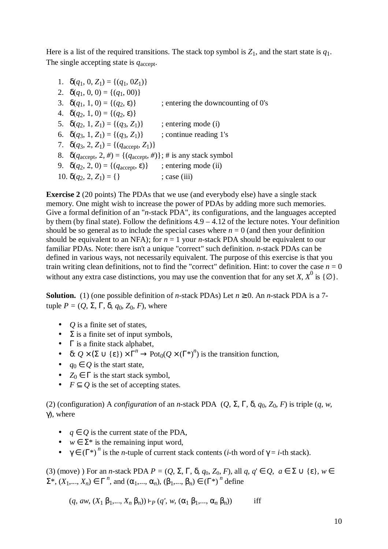Here is a list of the required transitions. The stack top symbol is  $Z_1$ , and the start state is  $q_1$ . The single accepting state is  $q_{\text{accept}}$ .

1.  $\delta(q_1, 0, Z_1) = \{(q_1, 0Z_1)\}\$ 2.  $\delta(q_1, 0, 0) = \{(q_1, 00)\}\$ 3.  $\delta(q_1, 1, 0) = \{(q_2, \varepsilon)\}\;$  ; entering the downcounting of 0's 4.  $\delta(q_2, 1, 0) = \{(q_2, \varepsilon)\}\$ 5.  $\delta(q_2, 1, Z_1) = \{(q_3, Z_1)\}$  ; entering mode (i) 6.  $\delta(q_3, 1, Z_1) = \{(q_3, Z_1)\}$  ; continue reading 1's 7.  $\delta(q_3, 2, Z_1) = \{(q_{\text{accept}}, Z_1)\}\$ 8.  $\delta(q_{\text{accept}}, 2, \#) = \{(q_{\text{accept}}, \#)\}; \# \text{ is any stack symbol}\}$ 9.  $\delta(q_2, 2, 0) = \{(q_{\text{accept}}, \varepsilon)\}\$ ; entering mode (ii) 10.  $\delta(q_2, 2, Z_1) = \{\}$  ; case (iii)

**Exercise 2** (20 points) The PDAs that we use (and everybody else) have a single stack memory. One might wish to increase the power of PDAs by adding more such memories. Give a formal definition of an "*n*-stack PDA", its configurations, and the languages accepted by them (by final state). Follow the definitions 4.9 – 4.12 of the lecture notes. Your definition should be so general as to include the special cases where  $n = 0$  (and then your definition should be equivalent to an NFA); for  $n = 1$  your *n*-stack PDA should be equivalent to our familiar PDAs. Note: there isn't a unique "correct" such definition. *n*-stack PDAs can be defined in various ways, not necessarily equivalent. The purpose of this exercise is that you train writing clean definitions, not to find the "correct" definition. Hint: to cover the case  $n = 0$ without any extra case distinctions, you may use the convention that for any set *X*,  $X^0$  is { $\emptyset$ }.

**Solution.** (1) (one possible definition of *n*-stack PDAs) Let  $n \ge 0$ . An *n*-stack PDA is a 7tuple  $P = (Q, \Sigma, \Gamma, \delta, q_0, Z_0, F)$ , where

- *Q* is a finite set of states,
- $\Sigma$  is a finite set of input symbols,
- $\Gamma$  is a finite stack alphabet,
- δ:  $Q \times (\Sigma \cup \{\epsilon\}) \times \overline{\Gamma}^n \to \text{Pot}_0(Q \times (\Gamma^*)^n)$  is the transition function,
- $q_0 \in Q$  is the start state,
- $Z_0 \in \Gamma$  is the start stack symbol,
- $F \subseteq Q$  is the set of accepting states.

(2) (configuration) A *configuration* of an *n-*stack PDA (*Q*, Σ, Γ, δ, *q*0, *Z*0, *F*) is triple (*q*, *w*, γ), where

- $q \in Q$  is the current state of the PDA,
- $w \in \Sigma^*$  is the remaining input word,
- $\gamma \in (\Gamma^*)^n$  is the *n*-tuple of current stack contents (*i*-th word of  $\gamma = i$ -th stack).

(3) (move) ) For an *n*-stack PDA  $P = (Q, \Sigma, \Gamma, \delta, q_0, Z_0, F)$ , all  $q, q' \in Q$ ,  $a \in \Sigma \cup \{\epsilon\}, w \in$  $\Sigma^*$ ,  $(X_1,...,X_n) \in \Gamma^n$ , and  $(\alpha_1,...,\alpha_n)$ ,  $(\beta_1,...,\beta_n) \in (\Gamma^*)^n$  define

 $(q, aw, (X_1 \beta_1, \ldots, X_n \beta_n)) \vdash_P (q', w, (\alpha_1 \beta_1, \ldots, \alpha_n \beta_n))$  iff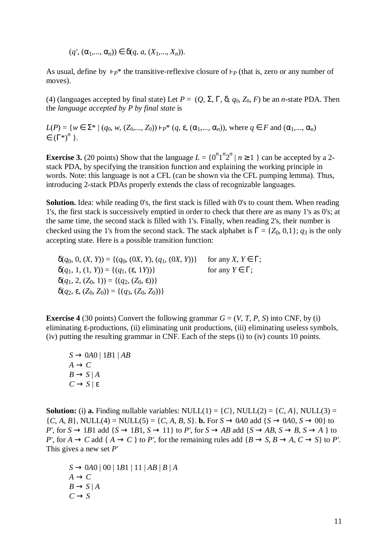$(q', (\alpha_1, ..., \alpha_n)) \in \delta(q, a, (X_1, ..., X_n)).$ 

As usual, define by  $P^*$  the transitive-reflexive closure of  $P^*$  (that is, zero or any number of moves).

(4) (languages accepted by final state) Let  $P = (Q, \Sigma, \Gamma, \delta, q_0, Z_0, F)$  be an *n*-state PDA. Then the *language accepted by P by final state* is

 $L(P) = \{w \in \Sigma^* \mid (q_0, w, (Z_0, ..., Z_0)) \vdash p^* \ (q, \varepsilon, (\alpha_1, ..., \alpha_n))\}$ , where  $q \in F$  and  $(\alpha_1, ..., \alpha_n)$  $\in (\Gamma^*)^n$  }.

**Exercise 3.** (20 points) Show that the language  $L = \{0^n 1^n 2^n | n \ge 1 \}$  can be accepted by a 2stack PDA, by specifying the transition function and explaining the working principle in words. Note: this language is not a CFL (can be shown via the CFL pumping lemma). Thus, introducing 2-stack PDAs properly extends the class of recognizable languages.

**Solution.** Idea: while reading 0's, the first stack is filled with 0's to count them. When reading 1's, the first stack is successively emptied in order to check that there are as many 1's as 0's; at the same time, the second stack is filled with 1's. Finally, when reading 2's, their number is checked using the 1's from the second stack. The stack alphabet is  $\Gamma = \{Z_0, 0, 1\}$ ; *q*<sub>3</sub> is the only accepting state. Here is a possible transition function:

 $\delta(q_0, 0, (X, Y)) = \{(q_0, (0X, Y), (q_1, (0X, Y))\}$  for any *X*,  $Y \in \Gamma$ ;  $\delta(q_1, 1, (1, Y)) = \{(q_1, (\varepsilon, 1Y))\}$  for any  $Y \in \Gamma$ ;  $\delta(q_1, 2, (Z_0, 1)) = \{(q_2, (Z_0, \epsilon))\}$  $\delta(q_2, \varepsilon, (Z_0, Z_0)) = \{(q_3, (Z_0, Z_0))\}$ 

**Exercise 4** (30 points) Convert the following grammar  $G = (V, T, P, S)$  into CNF, by (i) eliminating ε-productions, (ii) eliminating unit productions, (iii) eliminating useless symbols, (iv) putting the resulting grammar in CNF. Each of the steps (i) to (iv) counts 10 points.

 $S \rightarrow 0A0 \mid 1B1 \mid AB$  $A \rightarrow C$  $B \rightarrow S \mid A$  $C \rightarrow S \mid \varepsilon$ 

**Solution:** (i) **a.** Finding nullable variables: NULL(1) =  $\{C\}$ , NULL(2) =  $\{C, A\}$ , NULL(3) =  ${C, A, B}$ , NULL(4) = NULL(5) =  ${C, A, B, S}$ . **b.** For  $S \to 0A0$  add  ${S \to 0A0, S \to 00}$  to *P'*, for  $S \rightarrow 1B1$  add  $\{S \rightarrow 1B1, S \rightarrow 11\}$  to *P'*, for  $S \rightarrow AB$  add  $\{S \rightarrow AB, S \rightarrow B, S \rightarrow A\}$  to *P'*, for  $A \to C$  add {  $A \to C$  } to *P'*, for the remaining rules add { $B \to S$ ,  $B \to A$ ,  $C \to S$ } to *P'*. This gives a new set *P'*

 $S \rightarrow 0A0 | 00 | 1B1 | 11 | AB | B | A$  $A \rightarrow C$  $B \rightarrow S | A$  $C \rightarrow S$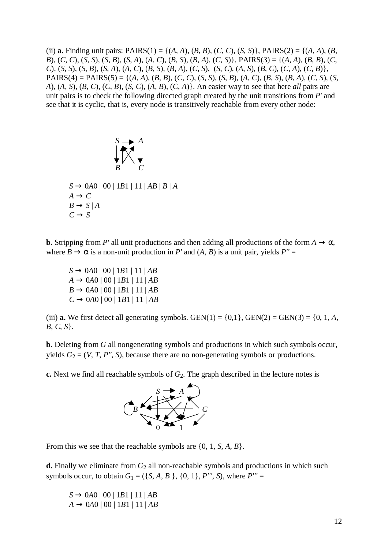(ii) **a.** Finding unit pairs:  $PAIRS(1) = \{(A, A), (B, B), (C, C), (S, S)\}, PAIRS(2) = \{(A, A), (B, B), (C, C), (S, S)\}, PAIRS(3) = \{(A, A), (B, B), (C, C), (S, S)\}, PAIRS(4) = \{(A, A), (B, B), (C, C), (S, S)\}$ B), (C, C), (S, S), (S, B), (S, A), (A, C), (B, S), (B, A), (C, S), PAIRS(3) = {(A, A), (B, B), (C, C), (S, S), (S, B), (S, A), (A, C), (B, S), (B, A), (C, S), (S, C), (A, S), (B, C), (C, A), (C, B), PAIRS(4) = PAIRS(5) = { $(A, A), (B, B), (C, C), (S, S), (S, B), (A, C), (B, S), (B, A), (C, S), (S,$ *A*), (*A*, *S*), (*B*, *C*), (*C*, *B*), (*S*, *C*), (*A*, *B*), (*C*, *A*)}. An easier way to see that here *all* pairs are unit pairs is to check the following directed graph created by the unit transitions from *P'* and see that it is cyclic, that is, every node is transitively reachable from every other node:

 *S A B C*  $S \rightarrow 0A0 | 00 | 1B1 | 11 | AB | B | A$  $A \rightarrow C$  $B \rightarrow S \mid A$  $C \rightarrow S$ 

**b.** Stripping from *P'* all unit productions and then adding all productions of the form  $A \to \alpha$ , where  $B \to \alpha$  is a non-unit production in *P'* and  $(A, B)$  is a unit pair, yields  $P'' =$ 

 $S \rightarrow 0A0 | 00 | 1B1 | 11 | AB$  $A \rightarrow 0A0 | 00 | 1B1 | 11 | AB$  $B \rightarrow 0A0 | 00 | 1B1 | 11 | AB$  $C \rightarrow 0A0 | 00 | 1B1 | 11 | AB$ 

(iii) **a.** We first detect all generating symbols. GEN(1) =  $\{0,1\}$ , GEN(2) = GEN(3) =  $\{0, 1, A$ , *B*, *C*, *S*}.

**b.** Deleting from *G* all nongenerating symbols and productions in which such symbols occur, yields  $G_2 = (V, T, P'', S)$ , because there are no non-generating symbols or productions.

**c.** Next we find all reachable symbols of  $G_2$ . The graph described in the lecture notes is



From this we see that the reachable symbols are {0, 1, *S*, *A*, *B*}.

**d.** Finally we eliminate from  $G_2$  all non-reachable symbols and productions in which such symbols occur, to obtain  $G_1 = (\{S, A, B\}, \{0, 1\}, P''', S)$ , where  $P''' =$ 

 $S \rightarrow 0A0 | 00 | 1B1 | 11 | AB$  $A \rightarrow 0A0 | 00 | 1B1 | 11 | AB$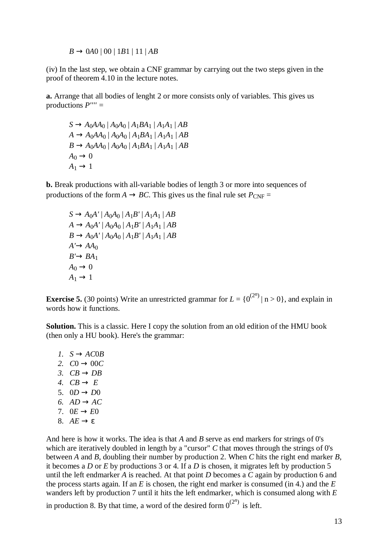$B \rightarrow 0A0 | 00 | 1B1 | 11 | AB$ 

(iv) In the last step, we obtain a CNF grammar by carrying out the two steps given in the proof of theorem 4.10 in the lecture notes.

**a.** Arrange that all bodies of lenght 2 or more consists only of variables. This gives us productions *P'''' =* 

 $S \rightarrow A_0 A A_0 | A_0 A_0 | A_1 B A_1 | A_1 A_1 | A B$  $A \rightarrow A_0 A A_0 | A_0 A_0 | A_1 B A_1 | A_1 A_1 | AB$  $B \rightarrow A_0 A A_0 | A_0 A_0 | A_1 B A_1 | A_1 A_1 | AB$  $A_0 \rightarrow 0$  $A_1 \rightarrow 1$ 

**b.** Break productions with all-variable bodies of length 3 or more into sequences of productions of the form  $A \rightarrow BC$ . This gives us the final rule set  $P_{CNF}$  =

 $S \rightarrow A_0A' | A_0A_0 | A_1B' | A_1A_1 | AB$  $A \rightarrow A_0A' | A_0A_0 | A_1B' | A_1A_1 | AB$  $B \rightarrow A_0A' | A_0A_0 | A_1B' | A_1A_1 | AB$  $A' \rightarrow AA_0$  $B' \rightarrow BA_1$  $A_0 \rightarrow 0$  $A_1 \rightarrow 1$ 

**Exercise 5.** (30 points) Write an unrestricted grammar for  $L = \{0^{(2^n)} | n > 0\}$ , and explain in words how it functions.

**Solution.** This is a classic. Here I copy the solution from an old edition of the HMU book (then only a HU book). Here's the grammar:

*l.*  $S \rightarrow AC0B$ 2.  $C0 \to 00C$ *3.*  $CB \rightarrow DB$ 4.  $CR \rightarrow E$ 5.  $0D \rightarrow D0$ 6.  $AD \rightarrow AC$ 7.  $0E \rightarrow E0$ 8.  $AE \rightarrow \varepsilon$ 

And here is how it works. The idea is that *A* and *B* serve as end markers for strings of 0's which are iteratively doubled in length by a "cursor" *C* that moves through the strings of 0's between *A* and *B*, doubling their number by production 2. When *C* hits the right end marker *B*, it becomes a *D* or *E* by productions 3 or 4. If a *D* is chosen, it migrates left by production 5 until the left endmarker *A* is reached. At that point *D* becomes a *C* again by production 6 and the process starts again. If an *E* is chosen, the right end marker is consumed (in 4.) and the *E* wanders left by production 7 until it hits the left endmarker, which is consumed along with *E*

in production 8. By that time, a word of the desired form  $0^{(2^n)}$  is left.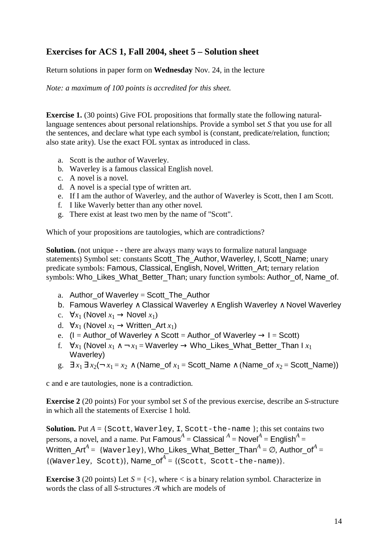# **Exercises for ACS 1, Fall 2004, sheet 5 – Solution sheet**

Return solutions in paper form on **Wednesday** Nov. 24, in the lecture

*Note: a maximum of 100 points is accredited for this sheet.* 

**Exercise 1.** (30 points) Give FOL propositions that formally state the following naturallanguage sentences about personal relationships. Provide a symbol set *S* that you use for all the sentences, and declare what type each symbol is (constant, predicate/relation, function; also state arity). Use the exact FOL syntax as introduced in class.

- a. Scott is the author of Waverley.
- b. Waverley is a famous classical English novel.
- c. A novel is a novel.
- d. A novel is a special type of written art.
- e. If I am the author of Waverley, and the author of Waverley is Scott, then I am Scott.
- f. I like Waverly better than any other novel.
- g. There exist at least two men by the name of "Scott".

Which of your propositions are tautologies, which are contradictions?

**Solution.** (not unique - - there are always many ways to formalize natural language statements) Symbol set: constants Scott\_The\_Author, Waverley, I, Scott\_Name; unary predicate symbols: Famous, Classical, English, Novel, Written\_Art; ternary relation symbols: Who\_Likes\_What\_Better\_Than; unary function symbols: Author\_of, Name\_of.

- a. Author\_of Waverley = Scott\_The\_Author
- b. Famous Waverley ∧ Classical Waverley ∧ English Waverley ∧ Novel Waverley
- c.  $\forall x_1$  (Novel  $x_1 \rightarrow$  Novel  $x_1$ )
- d.  $\forall x_1$  (Novel  $x_1 \rightarrow W$ ritten\_Art  $x_1$ )
- e. (I = Author of Waverley ∧ Scott = Author of Waverley  $\rightarrow$  I = Scott)
- f.  $\forall x_1$  (Novel  $x_1 \wedge \neg x_1 =$  Waverley  $\rightarrow$  Who\_Likes\_What\_Better\_Than I  $x_1$ Waverley)
- g.  $∃ x_1 ∃ x_2(¬ x_1 = x_2 ∧ (Name_of x_1 = Scott_name ∧ (Name_of x_2 = Scott_name))$

c and e are tautologies, none is a contradiction.

**Exercise 2** (20 points) For your symbol set *S* of the previous exercise, describe an *S*-structure in which all the statements of Exercise 1 hold.

**Solution.** Put  $A = \{$  Scott, Waverley, I, Scott-the-name  $\}$ ; this set contains two persons, a novel, and a name. Put  $\mathsf{Famous}^A = \mathsf{Classical}^A = \mathsf{Novel}^A = \mathsf{English}^A = \mathsf{I}$  ${\sf Written\_Art}^A =\ \{\mathtt{Waverley}\},$   ${\sf Who\_likes\_What\_Better\_ Than}^A = \varnothing,$   ${\sf Author\_of}^A = \emptyset$  $\{(\text{Wave} \$  Scott) $\}$ , **Name\_of**<sup>A</sup> =  $\{(\text{Scott}, \text{Scott-the-name})\}$ .

**Exercise 3** (20 points) Let  $S = \{ \leq \}$ , where  $\leq$  is a binary relation symbol. Characterize in words the class of all *S*-structures  $\mathcal{A}$  which are models of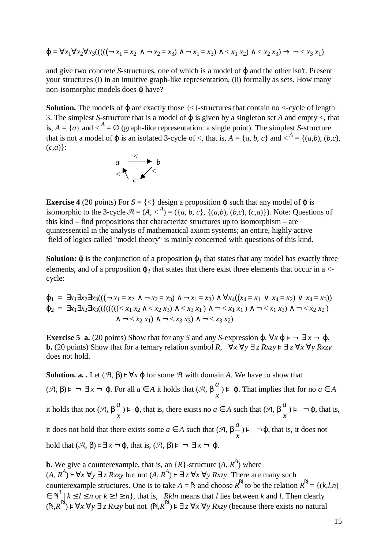$$
\varphi = \forall x_1 \forall x_2 \forall x_3 ((( (\neg x_1 = x_2 \land \neg x_2 = x_3) \land \neg x_1 = x_3) \land \neg x_1 x_2) \land \neg x_2 x_3) \rightarrow \neg \neg x_3 x_1)
$$

and give two concrete *S*-structures, one of which is a model of ϕ and the other isn't. Present your structures (i) in an intuitive graph-like representation, (ii) formally as sets. How many non-isomorphic models does ϕ have?

**Solution.** The models of  $\varphi$  are exactly those  $\{\langle\}\$ -structures that contain no  $\langle\langle\cdot\rangle\rangle$ -cycle of length 3. The simplest *S*-structure that is a model of ϕ is given by a singleton set *A* and empty <, that is,  $A = \{a\}$  and  $\lt^A = \emptyset$  (graph-like representation: a single point). The simplest *S*-structure that is not a model of  $\varphi$  is an isolated 3-cycle of <, that is,  $A = \{a, b, c\}$  and  $\langle A = \{(a,b), (b,c),$ (*c*,*a*)}:



**Exercise 4** (20 points) For  $S = \{ \langle \rangle \}$  design a proposition  $\varphi$  such that any model of  $\varphi$  is isomorphic to the 3-cycle  $\mathcal{A} = (A, <sup>A</sup>) = (\{a, b, c\}, \{(a,b), (b,c), (c,a)\})$ . Note: Questions of this kind – find propositions that characterize structures up to isomorphism – are quintessential in the analysis of mathematical axiom systems; an entire, highly active field of logics called "model theory" is mainly concerned with questions of this kind.

**Solution:**  $\varphi$  is the conjunction of a proposition  $\varphi_1$  that states that any model has exactly three elements, and of a proposition  $\varphi_2$  that states that there exist three elements that occur in a  $\lt$ cycle:

$$
\varphi_1 = \exists x_1 \exists x_2 \exists x_3 (((\neg x_1 = x_2 \land \neg x_2 = x_3) \land \neg x_1 = x_3) \land \forall x_4 ((x_4 = x_1 \lor x_4 = x_2) \lor x_4 = x_3))
$$
  
\n
$$
\varphi_2 = \exists x_1 \exists x_2 \exists x_3 (((((((((< x_1 x_2 \land < x_2 x_3) \land < x_3 x_1) \land \neg < x_1 x_1) \land \neg < x_1 x_3) \land \neg < x_2 x_2)
$$
  
\n
$$
\land \neg < x_2 x_1) \land \neg < x_3 x_3) \land \neg < x_3 x_2)
$$

**Exercise 5 a.** (20 points) Show that for any *S* and any *S*-expression  $\varphi$ ,  $\forall x \varphi \models \neg \exists x \neg \varphi$ .<br>  $\varphi$  (20 points) Show that for a ternary relation symbol  $B = \forall x \forall y \exists z E$   $\forall x \forall y B x z y$ **b.** (20 points) Show that for a ternary relation symbol *R*,  $\forall x \forall y \exists z Rxzy \in \exists z \forall x \forall y Rxzy$  does not hold does not hold.

**Solution. a. .** Let  $(\mathcal{A}, \beta) \models \forall x \varphi$  for some  $\mathcal{A}$  with domain *A*. We have to show that  $({\mathcal{A}}, \beta) \models \neg \exists x \neg \varphi$ . For all  $a \in A$  it holds that  $({\mathcal{A}}, \beta \frac{a}{x}) \models \varphi$ . That implies that for no  $a \in A$ it holds that not  $(\mathcal{A}, \beta \frac{a}{x}) \models \varphi$ , that is, there exists no  $a \in A$  such that  $(\mathcal{A}, \beta \frac{a}{x}) \models \neg \varphi$ , that is, it does not hold that there exists some  $a \in A$  such that  $(\mathcal{A}, \beta \frac{a}{x}) \models \neg \varphi$ , that is, it does not hold that  $({\mathcal{A}}, \beta) \models \exists x \neg \varphi$ , that is,  $({\mathcal{A}}, \beta) \models \neg \exists x \neg \varphi$ .

**b.** We give a counterexample, that is, an  $\{R\}$ -structure  $(A, R^A)$  where  $(A, R^A) \models \forall x \forall y \exists z Rxyz$  but not  $(A, R^A) \models \exists z \forall x \forall y Rxyz$ . There are many such<br>constructions of the state of the take  $A \in \mathbb{R}$  and shapes  $R^A$  to be the relations counterexample structures. One is to take  $A = \mathbb{N}$  and choose  $R^{\mathbb{N}}$  to be the relation  $R^{\mathbb{N}} = \{(k,l,n) \in \mathbb{N}^3 : l \le l \le n \text{ or } l > l > n\}$  that is a *Rh*ly means that *l* lies between *h* and *l* Then algority  $\in \mathbb{N}^3 \mid k \le l \le n$  or  $k \ge l \ge n$ , that is, *Rkln* means that *l* lies between *k* and *l*. Then clearly  $(\mathbb{N}, R^{\mathbb{N}})$  ⊧  $\forall x \forall y \exists z Rxyzy$  but not  $(\mathbb{N}, R^{\mathbb{N}})$  ⊧  $\exists z \forall x \forall y Rxyzy$  (because there exists no natural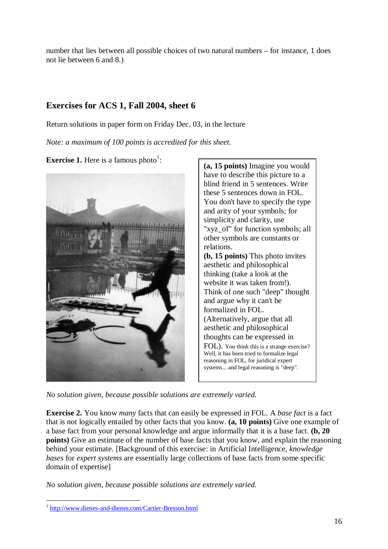number that lies between all possible choices of two natural numbers – for instance, 1 does not lie between 6 and 8.)

# **Exercises for ACS 1, Fall 2004, sheet 6**

Return solutions in paper form on Friday Dec. 03, in the lecture

*Note: a maximum of 100 points is accredited for this sheet.* 

**Exercise [1](#page-15-0).** Here is a famous photo<sup>1</sup>:





*No solution given, because possible solutions are extremely varied.*

**Exercise 2.** You know *many* facts that can easily be expressed in FOL. A *base fact* is a fact that is not logically entailed by other facts that you know. **(a, 10 points)** Give one example of a base fact from your personal knowledge and argue informally that it is a base fact. **(b, 20 points)** Give an estimate of the number of base facts that you know, and explain the reasoning behind your estimate. [Background of this exercise: in Artificial Intelligence, *knowledge bases* for *expert systems* are essentially large collections of base facts from some specific domain of expertise]

*No solution given, because possible solutions are extremely varied.*

<span id="page-15-0"></span> $\overline{a}$ <sup>1</sup> <http://www.dienes-and-dienes.com/Cartier-Bresson.html>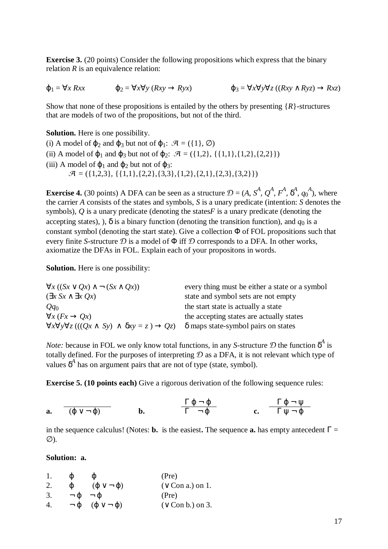**Exercise 3.** (20 points) Consider the following propositions which express that the binary relation *R* is an equivalence relation:

$$
\varphi_1 = \forall x Rxx \qquad \qquad \varphi_2 = \forall x \forall y (Rxy \rightarrow Ryx) \qquad \qquad \varphi_3 = \forall x \forall y \forall z ((Rxy \land Ryz) \rightarrow Rxz)
$$

Show that none of these propositions is entailed by the others by presenting {*R*}-structures that are models of two of the propositions, but not of the third.

#### **Solution.** Here is one possibility.

(i) A model of  $\varphi_2$  and  $\varphi_3$  but not of  $\varphi_1$ :  $\mathcal{A} = (\{1\}, \emptyset)$ (ii) A model of  $\varphi_1$  and  $\varphi_3$  but not of  $\varphi_2$ :  $\mathcal{A} = ({1,2}, {1,1}, {1,2}, {2,2})$ (iii) A model of  $\varphi_1$  and  $\varphi_2$  but not of  $\varphi_3$ :  $\mathcal{A} = (\{1,2,3\}, \{\{1,1\},\{2,2\},\{3,3\},\{1,2\},\{2,1\},\{2,3\},\{3,2\})$ 

**Exercise 4.** (30 points) A DFA can be seen as a structure  $\mathcal{D} = (A, S^A, Q^A, F^A, \delta^A, q_0^A)$ , where the carrier 4 consists of the states and symbols. S is a unary predicate (intention: S denotes the the carrier *A* consists of the states and symbols, *S* is a unary predicate (intention: *S* denotes the symbols), *Q* is a unary predicate (denoting the states*F* is a unary predicate (denoting the accepting states),  $\delta$ ,  $\delta$  is a binary function (denoting the transition function), and  $q_0$  is a constant symbol (denoting the start state). Give a collection  $\Phi$  of FOL propositions such that every finite *S*-structure  $\mathcal D$  is a model of  $\Phi$  iff  $\mathcal D$  corresponds to a DFA. In other works, axiomatize the DFAs in FOL. Explain each of your propositons in words.

**Solution.** Here is one possibility:

| $\forall x ((Sx \vee Qx) \wedge \neg (Sx \wedge Qx))$                                 | every thing must be either a state or a symbol |
|---------------------------------------------------------------------------------------|------------------------------------------------|
| $(\exists x \ Sx \land \exists x \ Qx)$                                               | state and symbol sets are not empty            |
| $Qq_0$                                                                                | the start state is actually a state            |
| $\forall x (Fx \rightarrow Ox)$                                                       | the accepting states are actually states       |
| $\forall x \forall y \forall z ((Qx \wedge Sy) \wedge \delta xy = z) \rightarrow Qz)$ | $\delta$ maps state-symbol pairs on states     |

*Note:* because in FOL we only know total functions, in any *S*-structure  $D$  the function  $\delta^A$  is totally defined. For the purposes of interpreting  $D$  as a DEA, it is not relevant which type  $\Omega$ totally defined. For the purposes of interpreting  $D$  as a DFA, it is not relevant which type of values  $\delta^4$  has on argument pairs that are not of type (state, symbol).

**Exercise 5. (10 points each)** Give a rigorous derivation of the following sequence rules:

**a.** 
$$
\frac{\Gamma \varphi \neg \varphi}{(\varphi \lor \neg \varphi)}
$$
 **b.**  $\frac{\Gamma \varphi \neg \varphi}{\Gamma \neg \varphi}$  **c.**  $\frac{\Gamma \varphi \neg \psi}{\Gamma \psi \neg \varphi}$ 

in the sequence calculus! (Notes: **b.** is the easiest. The sequence **a.** has empty antecedent  $\Gamma$  = ∅).

**Solution: a.**

| 1. | Φ<br>Φ                                           | (Pre)                 |
|----|--------------------------------------------------|-----------------------|
| 2. | $(\phi \vee \neg \phi)$<br>$\boldsymbol{\omega}$ | $(\vee$ Con a.) on 1. |
| 3. | $\neg \phi \neg \phi$                            | (Pre)                 |
| 4. | $\neg \phi \quad (\phi \lor \neg \phi)$          | $(\vee$ Con b.) on 3. |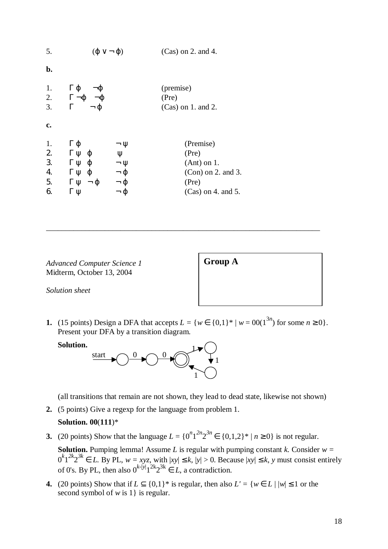| 5.                               | $(\varphi \vee \neg \varphi)$                                                                          |                                                                                                  | $(Cas)$ on 2. and 4.                                                                         |
|----------------------------------|--------------------------------------------------------------------------------------------------------|--------------------------------------------------------------------------------------------------|----------------------------------------------------------------------------------------------|
| b.                               |                                                                                                        |                                                                                                  |                                                                                              |
| 1.<br>2.<br>3.                   | $Γ$ φ<br>$\neg \phi$<br>$\Gamma \neg \phi \neg \phi$<br>$\neg \phi$<br>$\Gamma$                        |                                                                                                  | (premise)<br>(Pre)<br>$(Cas)$ on 1. and 2.                                                   |
| c.                               |                                                                                                        |                                                                                                  |                                                                                              |
| 1.<br>2.<br>3.<br>4.<br>5.<br>6. | $\Gamma \varphi$<br>$Γ$ $ψ$ $φ$<br>$Γ$ $ψ$ $φ$<br>$Γ$ $ψ$ $φ$<br>$\Gamma \Psi - \Phi$<br>$\Gamma \Psi$ | $\neg \psi$<br>$\Psi$<br>$\neg \Psi$<br>$\neg$ $\varphi$<br>$\neg$ $\varphi$<br>$\neg$ $\varphi$ | (Premise)<br>(Pre)<br>$(Ant)$ on 1.<br>$(Con)$ on 2. and 3.<br>(Pre)<br>$(Cas)$ on 4. and 5. |

*Advanced Computer Science 1* **Group A** Midterm, October 13, 2004

*Solution sheet* 

**1.** (15 points) Design a DFA that accepts  $L = \{w \in \{0,1\}^* | w = 00(1^{3n}) \text{ for some } n \ge 0\}.$ Present your DFA by a transition diagram.

\_\_\_\_\_\_\_\_\_\_\_\_\_\_\_\_\_\_\_\_\_\_\_\_\_\_\_\_\_\_\_\_\_\_\_\_\_\_\_\_\_\_\_\_\_\_\_\_\_\_\_\_\_\_\_\_\_\_\_\_\_\_\_\_\_\_\_\_\_\_



(all transitions that remain are not shown, they lead to dead state, likewise not shown)

**2.** (5 points) Give a regexp for the language from problem 1.

#### **Solution. 00**(**111**)\*

**3.** (20 points) Show that the language  $L = \{0^n 1^{2n} 2^{3n} \in \{0,1,2\}^* | n \ge 0\}$  is not regular.

**Solution.** Pumping lemma! Assume *L* is regular with pumping constant *k.* Consider *w =*  $0^k1^{2k}2^{3k} \in L$ . By PL,  $w = xyz$ , with  $|xy| \le k$ ,  $|y| > 0$ . Because  $|xy| \le k$ , *y* must consist entirely of 0's. By PL, then also  $0^{k-|y|}1^{2k}2^{3k} \in L$ , a contradiction.

**4.** (20 points) Show that if  $L \subseteq \{0,1\}^*$  is regular, then also  $L' = \{w \in L \mid |w| \leq 1 \text{ or the } \}$ second symbol of *w* is 1} is regular.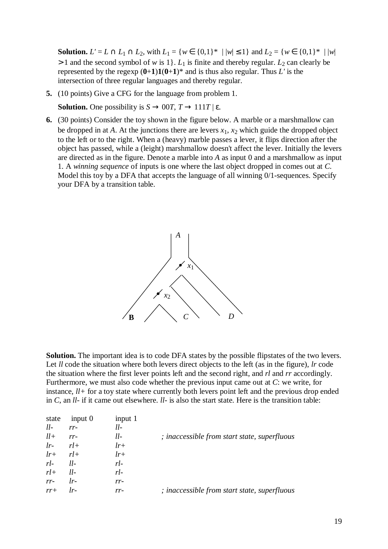**Solution.**  $L' = L \cap L_1 \cap L_2$ , with  $L_1 = \{w \in \{0,1\}^* \mid |w| \leq 1\}$  and  $L_2 = \{w \in \{0,1\}^* \mid |w|$  $> 1$  and the second symbol of *w* is 1. *L*<sub>1</sub> is finite and thereby regular. *L*<sub>2</sub> can clearly be represented by the regexp  $(0+1)1(0+1)^*$  and is thus also regular. Thus *L'* is the intersection of three regular languages and thereby regular.

**5.** (10 points) Give a CFG for the language from problem 1.

**Solution.** One possibility is  $S \to 00T$ ,  $T \to 111T$  | ε.

**6.** (30 points) Consider the toy shown in the figure below. A marble or a marshmallow can be dropped in at *A*. At the junctions there are levers  $x_1$ ,  $x_2$  which guide the dropped object to the left or to the right. When a (heavy) marble passes a lever, it flips direction after the object has passed, while a (leight) marshmallow doesn't affect the lever. Initially the levers are directed as in the figure. Denote a marble into *A* as input 0 and a marshmallow as input 1. A *winning sequence* of inputs is one where the last object dropped in comes out at *C*. Model this toy by a DFA that accepts the language of all winning 0/1-sequences. Specify your DFA by a transition table.



**Solution.** The important idea is to code DFA states by the possible flipstates of the two levers. Let *ll* code the situation where both levers direct objects to the left (as in the figure), *lr* code the situation where the first lever points left and the second right, and *rl* and *rr* accordingly. Furthermore, we must also code whether the previous input came out at *C*: we write, for instance, *ll+* for a toy state where currently both levers point left and the previous drop ended in *C*, an *ll-* if it came out elsewhere. *ll-* is also the start state. Here is the transition table:

| state | input $0$ | input 1 |                                              |
|-------|-----------|---------|----------------------------------------------|
| $ll-$ | $rr-$     | $ll-$   |                                              |
| $ll+$ | $rr-$     | $ll-$   | ; inaccessible from start state, superfluous |
| $lr-$ | $rl+$     | $lr+$   |                                              |
| $lr+$ | $rl+$     | $lr+$   |                                              |
| $rl-$ | $ll-$     | $r$ .   |                                              |
| $rl+$ | $ll-$     | $rl-$   |                                              |
| $rr-$ | $lr-$     | $rr-$   |                                              |
| $rr+$ | $lr-$     | $rr-$   | ; inaccessible from start state, superfluous |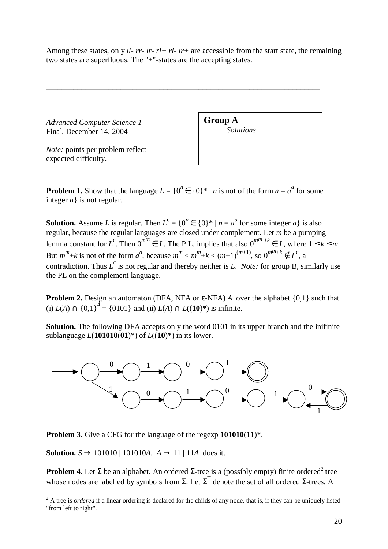Among these states, only *ll- rr- lr- rl+ rl- lr+* are accessible from the start state, the remaining two states are superfluous. The "+"-states are the accepting states.

\_\_\_\_\_\_\_\_\_\_\_\_\_\_\_\_\_\_\_\_\_\_\_\_\_\_\_\_\_\_\_\_\_\_\_\_\_\_\_\_\_\_\_\_\_\_\_\_\_\_\_\_\_\_\_\_\_\_\_\_\_\_\_\_\_\_\_\_\_\_

*Advanced Computer Science 1* **Group A**<br>Final December 14, 2004 Final, December 14, 2004

*Note:* points per problem reflect expected difficulty.

**Problem 1.** Show that the language  $L = \{0^n \in \{0\}^* | n \text{ is not of the form } n = a^a \text{ for some } a \in \mathbb{R} \}$ integer *a*} is not regular.

**Solution.** Assume *L* is regular. Then  $L^c = \{0^n \in \{0\}^* \mid n = a^a \text{ for some integer } a\}$  is also regular, because the regular languages are closed under complement. Let *m* be a pumping lemma constant for *L*<sup>c</sup>. Then  $0^{m^m} \in L$ . The P.L. implies that also  $0^{m^m+k} \in L$ , where  $1 \le k \le m$ . But  $m^m+k$  is not of the form  $a^a$ , bceause  $m^m < m^m+k < (m+1)^{(m+1)}$ , so  $0^{m^m+k} \notin L^c$ , a contradiction. Thus  $L^c$  is not regular and thereby neither is *L. Note:* for group B, similarly use the PL on the complement language.

**Problem 2.** Design an automaton (DFA, NFA or ε-NFA) *A* over the alphabet {0,1} such that (i) *L*(*A*) ∩ {0,1}<sup>4</sup> = {0101} and (ii) *L*(*A*) ∩ *L*((**10**)<sup>\*</sup>) is infinite.

**Solution.** The following DFA accepts only the word 0101 in its upper branch and the inifinite sublanguage *L*(**101010**(**01**)\*) of *L*((**10**)\*) in its lower.



**Problem 3.** Give a CFG for the language of the regexp **101010**(**11**)\*.

**Solution.**  $S \to 101010 | 101010A$ ,  $A \to 11 | 11A$  does it.

**Problem 4.** Let  $\Sigma$  be an alphabet. An ordered  $\Sigma$ -tree is a (possibly empty) finite ordered<sup>2</sup> tree whose nodes are labelled by symbols from  $\Sigma$ . Let  $\Sigma^T$  denote the set of all ordered  $\Sigma$ -trees. A

<span id="page-19-0"></span><sup>&</sup>lt;sup>2</sup> A tree is *ordered* if a linear ordering is declared for the childs of any node, that is, if they can be uniquely listed "from left to right".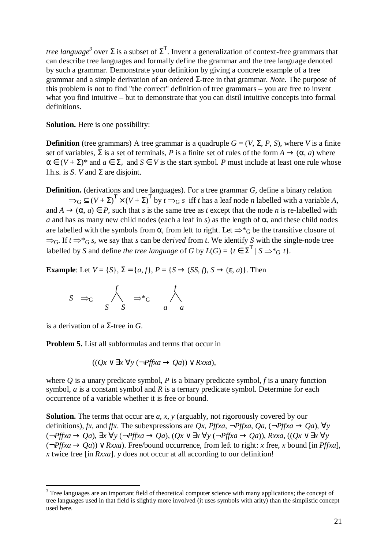*tree language<sup>3</sup>* over  $\Sigma$  is a subset of  $\Sigma$ <sup>T</sup>. Invent a generalization of context-free grammars that can describe tree languages and formally define the grammar and the tree language denoted by such a grammar. Demonstrate your definition by giving a concrete example of a tree grammar and a simple derivation of an ordered Σ-tree in that grammar. *Note.* The purpose of this problem is not to find "the correct" definition of tree grammars – you are free to invent what you find intuitive – but to demonstrate that you can distil intuitive concepts into formal definitions.

**Solution.** Here is one possibility:

**Definition** (tree grammars) A tree grammar is a quadruple  $G = (V, \Sigma, P, S)$ , where *V* is a finite set of variables,  $\Sigma$  is a set of terminals, *P* is a finite set of rules of the form  $A \to (\alpha, a)$  where  $\alpha \in (V + \Sigma)^*$  and  $a \in \Sigma$ , and  $S \in V$  is the start symbol. *P* must include at least one rule whose l.h.s. is *S*. *V* and  $\Sigma$  are disjoint.

**Definition.** (derivations and tree languages). For a tree grammar *G*, define a binary relation

 $\Rightarrow_G \subseteq (V + \Sigma)^T \times (V + \Sigma)^T$  by  $t \Rightarrow_G s$  iff *t* has a leaf node *n* labelled with a variable *A*, and  $A \rightarrow (\alpha, a) \in P$ , such that *s* is the same tree as *t* except that the node *n* is re-labelled with *a* and has as many new child nodes (each a leaf in *s*) as the length of  $\alpha$ , and these child nodes are labelled with the symbols from  $\alpha$ , from left to right. Let  $\Rightarrow^*_{G}$  be the transitive closure of  $\Rightarrow$ <sub>G</sub>. If  $t \Rightarrow^*$ <sub>G</sub> *s*, we say that *s* can be *derived* from *t*. We identify *S* with the single-node tree labelled by *S* and define *the tree language* of *G* by  $L(G) = \{t \in \Sigma^T | S \Rightarrow^* G t\}.$ 

**Example**: Let  $V = \{S\}$ ,  $\Sigma = \{a, f\}$ ,  $P = \{S \rightarrow (SS, f), S \rightarrow (\varepsilon, a)\}$ . Then

$$
S \Rightarrow_G \bigwedge_S^f \Rightarrow^*_{S} \qquad \bigwedge_A^f
$$

is a derivation of a Σ-tree in *G*.

 $\overline{a}$ 

**Problem 5.** List all subformulas and terms that occur in

$$
((Qx \lor \exists x \forall y (\neg Pffxa \rightarrow Qa)) \lor Rxxa),
$$

where *Q* is a unary predicate symbol, *P* is a binary predicate symbol, *f* is a unary function symbol, *a* is a constant symbol and *R* is a ternary predicate symbol. Determine for each occurrence of a variable whether it is free or bound.

**Solution.** The terms that occur are *a*, *x*, *y* (arguably, not rigoroously covered by our definitions), *fx*, and *ffx*. The subexpressions are *Qx*, *Pffxa*,  $\neg$ *Pffxa*,  $Qa$ ,  $(\neg$ *Pffxa*  $\rightarrow$   $Qa)$ ,  $\forall$ *y* (¬*Pffxa* → *Qa*), ∃*x* ∀*y* (¬*Pffxa* → *Qa*), (*Qx* ∨ ∃*x* ∀*y* (¬*Pffxa* → *Qa*)), *Rxxa*, ((*Qx* ∨ ∃*x* ∀*y*  $(\neg Pffxa \rightarrow Oa)$ )  $\vee Rxxa$ ). Free/bound occurrence, from left to right: *x* free, *x* bound [in *Pffxa*], *x* twice free [in *Rxxa*]. *y* does not occur at all according to our definition!

<span id="page-20-0"></span><sup>&</sup>lt;sup>3</sup> Tree languages are an important field of theoretical computer science with many applications; the concept of tree languages used in that field is slightly more involved (it uses symbols with arity) than the simplistic concept used here.